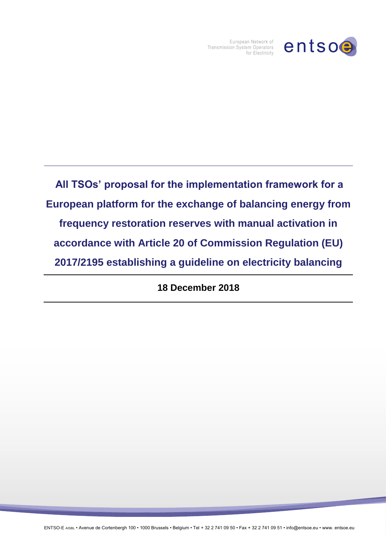

European Network of Transmission System Operators for Electricity

**All TSOs' proposal for the implementation framework for a European platform for the exchange of balancing energy from frequency restoration reserves with manual activation in accordance with Article 20 of Commission Regulation (EU) 2017/2195 establishing a guideline on electricity balancing** 

**18 December 2018**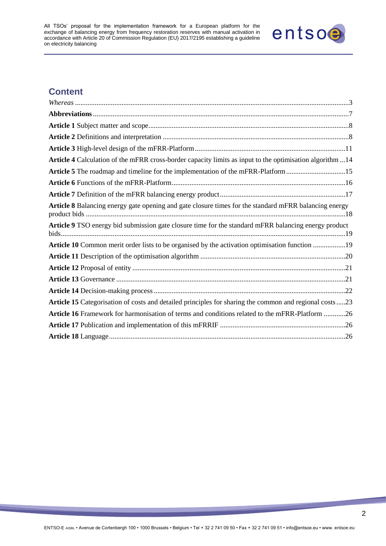

# **Content**

| Article 4 Calculation of the mFRR cross-border capacity limits as input to the optimisation algorithm 14 |  |
|----------------------------------------------------------------------------------------------------------|--|
| Article 5 The roadmap and timeline for the implementation of the mFRR-Platform 15                        |  |
|                                                                                                          |  |
|                                                                                                          |  |
| Article 8 Balancing energy gate opening and gate closure times for the standard mFRR balancing energy    |  |
| Article 9 TSO energy bid submission gate closure time for the standard mFRR balancing energy product     |  |
| Article 10 Common merit order lists to be organised by the activation optimisation function 19           |  |
|                                                                                                          |  |
|                                                                                                          |  |
|                                                                                                          |  |
|                                                                                                          |  |
| Article 15 Categorisation of costs and detailed principles for sharing the common and regional costs23   |  |
| Article 16 Framework for harmonisation of terms and conditions related to the mFRR-Platform 26           |  |
|                                                                                                          |  |
|                                                                                                          |  |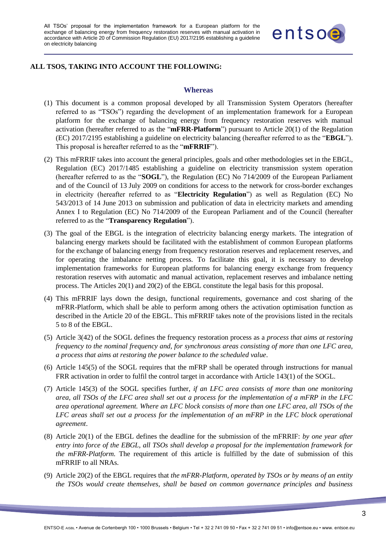

#### <span id="page-2-0"></span>**ALL TSOS, TAKING INTO ACCOUNT THE FOLLOWING:**

#### **Whereas**

- (1) This document is a common proposal developed by all Transmission System Operators (hereafter referred to as "TSOs") regarding the development of an implementation framework for a European platform for the exchange of balancing energy from frequency restoration reserves with manual activation (hereafter referred to as the "**mFRR-Platform**") pursuant to Article 20(1) of the Regulation (EC) 2017/2195 establishing a guideline on electricity balancing (hereafter referred to as the "**EBGL**"). This proposal is hereafter referred to as the "**mFRRIF**").
- (2) This mFRRIF takes into account the general principles, goals and other methodologies set in the EBGL, Regulation (EC) 2017/1485 establishing a guideline on electricity transmission system operation (hereafter referred to as the "**SOGL**"), the Regulation (EC) No 714/2009 of the European Parliament and of the Council of 13 July 2009 on conditions for access to the network for cross-border exchanges in electricity (hereafter referred to as "**Electricity Regulation**") as well as Regulation (EC) No 543/2013 of 14 June 2013 on submission and publication of data in electricity markets and amending Annex I to Regulation (EC) No 714/2009 of the European Parliament and of the Council (hereafter referred to as the "**Transparency Regulation**").
- (3) The goal of the EBGL is the integration of electricity balancing energy markets. The integration of balancing energy markets should be facilitated with the establishment of common European platforms for the exchange of balancing energy from frequency restoration reserves and replacement reserves, and for operating the imbalance netting process. To facilitate this goal, it is necessary to develop implementation frameworks for European platforms for balancing energy exchange from frequency restoration reserves with automatic and manual activation, replacement reserves and imbalance netting process. The Articles 20(1) and 20(2) of the EBGL constitute the legal basis for this proposal.
- (4) This mFRRIF lays down the design, functional requirements, governance and cost sharing of the mFRR-Platform, which shall be able to perform among others the activation optimisation function as described in the Article 20 of the EBGL. This mFRRIF takes note of the provisions listed in the recitals 5 to 8 of the EBGL.
- (5) Article 3(42) of the SOGL defines the frequency restoration process as a *process that aims at restoring frequency to the nominal frequency and, for synchronous areas consisting of more than one LFC area, a process that aims at restoring the power balance to the scheduled value*.
- (6) Article 145(5) of the SOGL requires that the mFRP shall be operated through instructions for manual FRR activation in order to fulfil the control target in accordance with Article 143(1) of the SOGL.
- (7) Article 145(3) of the SOGL specifies further, *if an LFC area consists of more than one monitoring area, all TSOs of the LFC area shall set out a process for the implementation of a mFRP in the LFC area operational agreement. Where an LFC block consists of more than one LFC area, all TSOs of the LFC areas shall set out a process for the implementation of an mFRP in the LFC block operational agreement*.
- (8) Article 20(1) of the EBGL defines the deadline for the submission of the mFRRIF: *by one year after entry into force of the EBGL, all TSOs shall develop a proposal for the implementation framework for the mFRR-Platform.* The requirement of this article is fulfilled by the date of submission of this mFRRIF to all NRAs.
- (9) Article 20(2) of the EBGL requires that *the mFRR-Platform, operated by TSOs or by means of an entity the TSOs would create themselves, shall be based on common governance principles and business*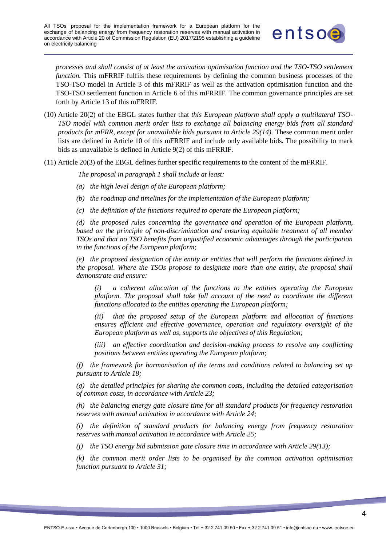

*processes and shall consist of at least the activation optimisation function and the TSO-TSO settlement function.* This mFRRIF fulfils these requirements by defining the common business processes of the TSO-TSO model in Article 3 of this mFRRIF as well as the activation optimisation function and the TSO-TSO settlement function in Article 6 of this mFRRIF. The common governance principles are set forth by Article 13 of this mFRRIF.

- (10) Article 20(2) of the EBGL states further that *this European platform shall apply a multilateral TSO-TSO model with common merit order lists to exchange all balancing energy bids from all standard products for mFRR, except for unavailable bids pursuant to Article 29(14).* These common merit order lists are defined in Article 10 of this mFRRIF and include only available bids. The possibility to mark bids as unavailable is defined in Article 9(2) of this mFRRIF.
- (11) Article 20(3) of the EBGL defines further specific requirements to the content of the mFRRIF.

*The proposal in paragraph 1 shall include at least:* 

- *(a) the high level design of the European platform;*
- *(b) the roadmap and timelines for the implementation of the European platform;*
- *(c) the definition of the functions required to operate the European platform;*

*(d) the proposed rules concerning the governance and operation of the European platform, based on the principle of non-discrimination and ensuring equitable treatment of all member TSOs and that no TSO benefits from unjustified economic advantages through the participation in the functions of the European platform;*

*(e) the proposed designation of the entity or entities that will perform the functions defined in the proposal. Where the TSOs propose to designate more than one entity, the proposal shall demonstrate and ensure:*

*(i) a coherent allocation of the functions to the entities operating the European platform. The proposal shall take full account of the need to coordinate the different functions allocated to the entities operating the European platform;*

*(ii) that the proposed setup of the European platform and allocation of functions ensures efficient and effective governance, operation and regulatory oversight of the European platform as well as, supports the objectives of this Regulation;*

*(iii) an effective coordination and decision-making process to resolve any conflicting positions between entities operating the European platform;*

*(f) the framework for harmonisation of the terms and conditions related to balancing set up pursuant to Article 18;*

*(g) the detailed principles for sharing the common costs, including the detailed categorisation of common costs, in accordance with Article 23;*

*(h) the balancing energy gate closure time for all standard products for frequency restoration reserves with manual activation in accordance with Article 24;*

*(i) the definition of standard products for balancing energy from frequency restoration reserves with manual activation in accordance with Article 25;*

*(j) the TSO energy bid submission gate closure time in accordance with Article 29(13);*

*(k) the common merit order lists to be organised by the common activation optimisation function pursuant to Article 31;*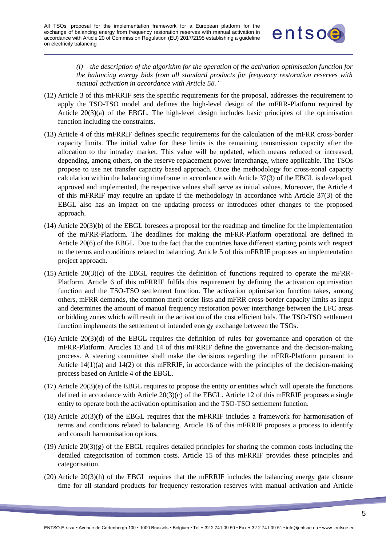

*(l) the description of the algorithm for the operation of the activation optimisation function for the balancing energy bids from all standard products for frequency restoration reserves with manual activation in accordance with Article 58."*

- (12) Article 3 of this mFRRIF sets the specific requirements for the proposal, addresses the requirement to apply the TSO-TSO model and defines the high-level design of the mFRR-Platform required by Article 20(3)(a) of the EBGL. The high-level design includes basic principles of the optimisation function including the constraints.
- (13) Article 4 of this mFRRIF defines specific requirements for the calculation of the mFRR cross-border capacity limits. The initial value for these limits is the remaining transmission capacity after the allocation to the intraday market. This value will be updated, which means reduced or increased, depending, among others, on the reserve replacement power interchange, where applicable. The TSOs propose to use net transfer capacity based approach. Once the methodology for cross-zonal capacity calculation within the balancing timeframe in accordance with Article 37(3) of the EBGL is developed, approved and implemented, the respective values shall serve as initial values. Moreover, the Article 4 of this mFRRIF may require an update if the methodology in accordance with Article 37(3) of the EBGL also has an impact on the updating process or introduces other changes to the proposed approach.
- (14) Article 20(3)(b) of the EBGL foresees a proposal for the roadmap and timeline for the implementation of the mFRR-Platform. The deadlines for making the mFRR-Platform operational are defined in Article 20(6) of the EBGL. Due to the fact that the countries have different starting points with respect to the terms and conditions related to balancing, Article 5 of this mFRRIF proposes an implementation project approach.
- (15) Article 20(3)(c) of the EBGL requires the definition of functions required to operate the mFRR-Platform. Article 6 of this mFRRIF fulfils this requirement by defining the activation optimisation function and the TSO-TSO settlement function. The activation optimisation function takes, among others, mFRR demands, the common merit order lists and mFRR cross-border capacity limits as input and determines the amount of manual frequency restoration power interchange between the LFC areas or bidding zones which will result in the activation of the cost efficient bids. The TSO-TSO settlement function implements the settlement of intended energy exchange between the TSOs.
- (16) Article 20(3)(d) of the EBGL requires the definition of rules for governance and operation of the mFRR-Platform. Articles 13 and 14 of this mFRRIF define the governance and the decision-making process. A steering committee shall make the decisions regarding the mFRR-Platform pursuant to Article 14(1)(a) and 14(2) of this mFRRIF, in accordance with the principles of the decision-making process based on Article 4 of the EBGL.
- (17) Article 20(3)(e) of the EBGL requires to propose the entity or entities which will operate the functions defined in accordance with Article 20(3)(c) of the EBGL. Article 12 of this mFRRIF proposes a single entity to operate both the activation optimisation and the TSO-TSO settlement function.
- $(18)$  Article  $20(3)(f)$  of the EBGL requires that the mFRRIF includes a framework for harmonisation of terms and conditions related to balancing. Article 16 of this mFRRIF proposes a process to identify and consult harmonisation options.
- $(19)$  Article  $20(3)(g)$  of the EBGL requires detailed principles for sharing the common costs including the detailed categorisation of common costs. Article 15 of this mFRRIF provides these principles and categorisation.
- (20) Article 20(3)(h) of the EBGL requires that the mFRRIF includes the balancing energy gate closure time for all standard products for frequency restoration reserves with manual activation and Article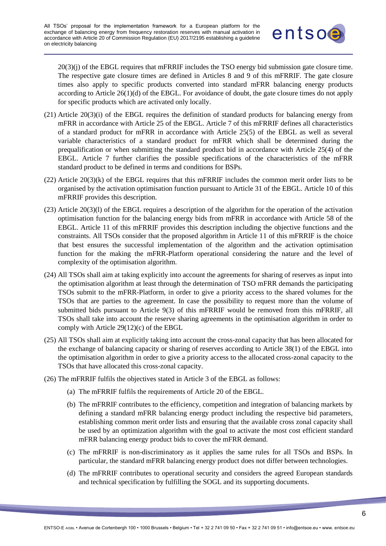

20(3)(j) of the EBGL requires that mFRRIF includes the TSO energy bid submission gate closure time. The respective gate closure times are defined in Articles 8 and 9 of this mFRRIF. The gate closure times also apply to specific products converted into standard mFRR balancing energy products according to Article  $26(1)(d)$  of the EBGL. For avoidance of doubt, the gate closure times do not apply for specific products which are activated only locally.

- (21) Article 20(3)(i) of the EBGL requires the definition of standard products for balancing energy from mFRR in accordance with Article 25 of the EBGL. Article 7 of this mFRRIF defines all characteristics of a standard product for mFRR in accordance with Article 25(5) of the EBGL as well as several variable characteristics of a standard product for mFRR which shall be determined during the prequalification or when submitting the standard product bid in accordance with Article 25(4) of the EBGL. Article 7 further clarifies the possible specifications of the characteristics of the mFRR standard product to be defined in terms and conditions for BSPs.
- $(22)$  Article  $20(3)(k)$  of the EBGL requires that this mFRRIF includes the common merit order lists to be organised by the activation optimisation function pursuant to Article 31 of the EBGL. Article 10 of this mFRRIF provides this description.
- (23) Article 20(3)(l) of the EBGL requires a description of the algorithm for the operation of the activation optimisation function for the balancing energy bids from mFRR in accordance with Article 58 of the EBGL. Article 11 of this mFRRIF provides this description including the objective functions and the constraints. All TSOs consider that the proposed algorithm in Article 11 of this mFRRIF is the choice that best ensures the successful implementation of the algorithm and the activation optimisation function for the making the mFRR-Platform operational considering the nature and the level of complexity of the optimisation algorithm.
- (24) All TSOs shall aim at taking explicitly into account the agreements for sharing of reserves as input into the optimisation algorithm at least through the determination of TSO mFRR demands the participating TSOs submit to the mFRR-Platform, in order to give a priority access to the shared volumes for the TSOs that are parties to the agreement. In case the possibility to request more than the volume of submitted bids pursuant to Article 9(3) of this mFRRIF would be removed from this mFRRIF, all TSOs shall take into account the reserve sharing agreements in the optimisation algorithm in order to comply with Article 29(12)(c) of the EBGL
- (25) All TSOs shall aim at explicitly taking into account the cross-zonal capacity that has been allocated for the exchange of balancing capacity or sharing of reserves according to Article 38(1) of the EBGL into the optimisation algorithm in order to give a priority access to the allocated cross-zonal capacity to the TSOs that have allocated this cross-zonal capacity.
- (26) The mFRRIF fulfils the objectives stated in Article 3 of the EBGL as follows:
	- (a) The mFRRIF fulfils the requirements of Article 20 of the EBGL.
	- (b) The mFRRIF contributes to the efficiency, competition and integration of balancing markets by defining a standard mFRR balancing energy product including the respective bid parameters, establishing common merit order lists and ensuring that the available cross zonal capacity shall be used by an optimization algorithm with the goal to activate the most cost efficient standard mFRR balancing energy product bids to cover the mFRR demand.
	- (c) The mFRRIF is non-discriminatory as it applies the same rules for all TSOs and BSPs. In particular, the standard mFRR balancing energy product does not differ between technologies.
	- (d) The mFRRIF contributes to operational security and considers the agreed European standards and technical specification by fulfilling the SOGL and its supporting documents.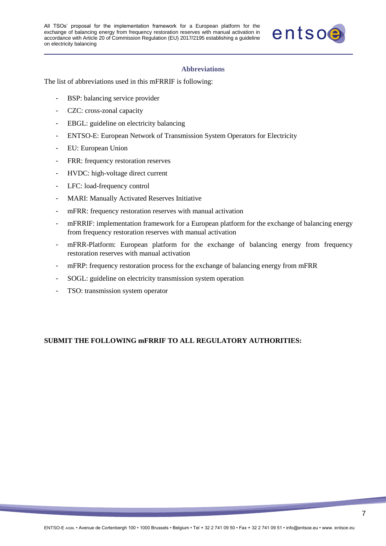

#### **Abbreviations**

<span id="page-6-0"></span>The list of abbreviations used in this mFRRIF is following:

- BSP: balancing service provider
- CZC: cross-zonal capacity
- EBGL: guideline on electricity balancing
- ENTSO-E: European Network of Transmission System Operators for Electricity
- EU: European Union
- FRR: frequency restoration reserves
- HVDC: high-voltage direct current
- LFC: load-frequency control
- MARI: Manually Activated Reserves Initiative
- mFRR: frequency restoration reserves with manual activation
- mFRRIF: implementation framework for a European platform for the exchange of balancing energy from frequency restoration reserves with manual activation
- mFRR-Platform: European platform for the exchange of balancing energy from frequency restoration reserves with manual activation
- mFRP: frequency restoration process for the exchange of balancing energy from mFRR
- SOGL: guideline on electricity transmission system operation
- TSO: transmission system operator

# **SUBMIT THE FOLLOWING mFRRIF TO ALL REGULATORY AUTHORITIES:**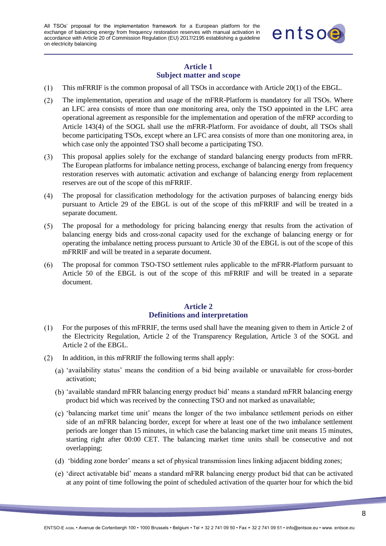

# **Article 1 Subject matter and scope**

- <span id="page-7-0"></span> $(1)$ This mFRRIF is the common proposal of all TSOs in accordance with Article 20(1) of the EBGL.
- $(2)$ The implementation, operation and usage of the mFRR-Platform is mandatory for all TSOs. Where an LFC area consists of more than one monitoring area, only the TSO appointed in the LFC area operational agreement as responsible for the implementation and operation of the mFRP according to Article 143(4) of the SOGL shall use the mFRR-Platform. For avoidance of doubt, all TSOs shall become participating TSOs, except where an LFC area consists of more than one monitoring area, in which case only the appointed TSO shall become a participating TSO.
- This proposal applies solely for the exchange of standard balancing energy products from mFRR.  $(3)$ The European platforms for imbalance netting process, exchange of balancing energy from frequency restoration reserves with automatic activation and exchange of balancing energy from replacement reserves are out of the scope of this mFRRIF.
- The proposal for classification methodology for the activation purposes of balancing energy bids  $(4)$ pursuant to Article 29 of the EBGL is out of the scope of this mFRRIF and will be treated in a separate document.
- $(5)$ The proposal for a methodology for pricing balancing energy that results from the activation of balancing energy bids and cross-zonal capacity used for the exchange of balancing energy or for operating the imbalance netting process pursuant to Article 30 of the EBGL is out of the scope of this mFRRIF and will be treated in a separate document.
- The proposal for common TSO-TSO settlement rules applicable to the mFRR-Platform pursuant to  $(6)$ Article 50 of the EBGL is out of the scope of this mFRRIF and will be treated in a separate document.

# **Article 2 Definitions and interpretation**

- <span id="page-7-1"></span> $(1)$ For the purposes of this mFRRIF, the terms used shall have the meaning given to them in Article 2 of the Electricity Regulation, Article 2 of the Transparency Regulation, Article 3 of the SOGL and Article 2 of the EBGL.
- In addition, in this mFRRIF the following terms shall apply:  $(2)$ 
	- 'availability status' means the condition of a bid being available or unavailable for cross-border activation;
	- 'available standard mFRR balancing energy product bid' means a standard mFRR balancing energy product bid which was received by the connecting TSO and not marked as unavailable;
	- 'balancing market time unit' means the longer of the two imbalance settlement periods on either side of an mFRR balancing border, except for where at least one of the two imbalance settlement periods are longer than 15 minutes, in which case the balancing market time unit means 15 minutes, starting right after 00:00 CET. The balancing market time units shall be consecutive and not overlapping;
	- 'bidding zone border' means a set of physical transmission lines linking adjacent bidding zones;
	- 'direct activatable bid' means a standard mFRR balancing energy product bid that can be activated at any point of time following the point of scheduled activation of the quarter hour for which the bid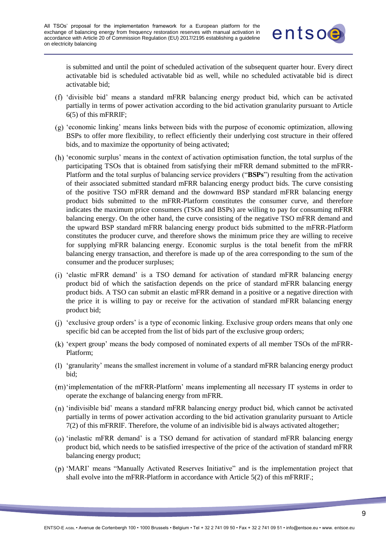

is submitted and until the point of scheduled activation of the subsequent quarter hour. Every direct activatable bid is scheduled activatable bid as well, while no scheduled activatable bid is direct activatable bid;

- 'divisible bid' means a standard mFRR balancing energy product bid, which can be activated partially in terms of power activation according to the bid activation granularity pursuant to Article 6(5) of this mFRRIF;
- $(g)$  'economic linking' means links between bids with the purpose of economic optimization, allowing BSPs to offer more flexibility, to reflect efficiently their underlying cost structure in their offered bids, and to maximize the opportunity of being activated;
- 'economic surplus' means in the context of activation optimisation function, the total surplus of the participating TSOs that is obtained from satisfying their mFRR demand submitted to the mFRR-Platform and the total surplus of balancing service providers ("**BSPs**") resulting from the activation of their associated submitted standard mFRR balancing energy product bids. The curve consisting of the positive TSO mFRR demand and the downward BSP standard mFRR balancing energy product bids submitted to the mFRR-Platform constitutes the consumer curve, and therefore indicates the maximum price consumers (TSOs and BSPs) are willing to pay for consuming mFRR balancing energy. On the other hand, the curve consisting of the negative TSO mFRR demand and the upward BSP standard mFRR balancing energy product bids submitted to the mFRR-Platform constitutes the producer curve, and therefore shows the minimum price they are willing to receive for supplying mFRR balancing energy. Economic surplus is the total benefit from the mFRR balancing energy transaction, and therefore is made up of the area corresponding to the sum of the consumer and the producer surpluses;
- 'elastic mFRR demand' is a TSO demand for activation of standard mFRR balancing energy product bid of which the satisfaction depends on the price of standard mFRR balancing energy product bids. A TSO can submit an elastic mFRR demand in a positive or a negative direction with the price it is willing to pay or receive for the activation of standard mFRR balancing energy product bid;
- 'exclusive group orders' is a type of economic linking. Exclusive group orders means that only one specific bid can be accepted from the list of bids part of the exclusive group orders;
- 'expert group' means the body composed of nominated experts of all member TSOs of the mFRR-Platform;
- 'granularity' means the smallest increment in volume of a standard mFRR balancing energy product bid;
- 'implementation of the mFRR-Platform' means implementing all necessary IT systems in order to operate the exchange of balancing energy from mFRR.
- 'indivisible bid' means a standard mFRR balancing energy product bid, which cannot be activated partially in terms of power activation according to the bid activation granularity pursuant to Article 7(2) of this mFRRIF. Therefore, the volume of an indivisible bid is always activated altogether;
- 'inelastic mFRR demand' is a TSO demand for activation of standard mFRR balancing energy product bid, which needs to be satisfied irrespective of the price of the activation of standard mFRR balancing energy product;
- 'MARI' means "Manually Activated Reserves Initiative" and is the implementation project that shall evolve into the mFRR-Platform in accordance with Article 5(2) of this mFRRIF.;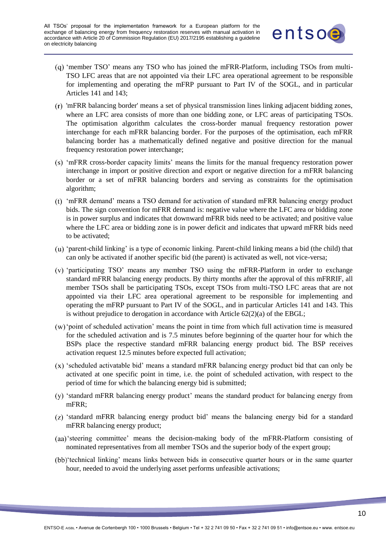

- (q) 'member TSO' means any TSO who has joined the mFRR-Platform, including TSOs from multi-TSO LFC areas that are not appointed via their LFC area operational agreement to be responsible for implementing and operating the mFRP pursuant to Part IV of the SOGL, and in particular Articles 141 and 143;
- 'mFRR balancing border' means a set of physical transmission lines linking adjacent bidding zones, where an LFC area consists of more than one bidding zone, or LFC areas of participating TSOs. The optimisation algorithm calculates the cross-border manual frequency restoration power interchange for each mFRR balancing border. For the purposes of the optimisation, each mFRR balancing border has a mathematically defined negative and positive direction for the manual frequency restoration power interchange;
- 'mFRR cross-border capacity limits' means the limits for the manual frequency restoration power interchange in import or positive direction and export or negative direction for a mFRR balancing border or a set of mFRR balancing borders and serving as constraints for the optimisation algorithm;
- 'mFRR demand' means a TSO demand for activation of standard mFRR balancing energy product bids. The sign convention for mFRR demand is: negative value where the LFC area or bidding zone is in power surplus and indicates that downward mFRR bids need to be activated; and positive value where the LFC area or bidding zone is in power deficit and indicates that upward mFRR bids need to be activated;
- 'parent-child linking' is a type of economic linking. Parent-child linking means a bid (the child) that can only be activated if another specific bid (the parent) is activated as well, not vice-versa;
- $(v)$  'participating TSO' means any member TSO using the mFRR-Platform in order to exchange standard mFRR balancing energy products. By thirty months after the approval of this mFRRIF, all member TSOs shall be participating TSOs, except TSOs from multi-TSO LFC areas that are not appointed via their LFC area operational agreement to be responsible for implementing and operating the mFRP pursuant to Part IV of the SOGL, and in particular Articles 141 and 143. This is without prejudice to derogation in accordance with Article 62(2)(a) of the EBGL;
- 'point of scheduled activation' means the point in time from which full activation time is measured for the scheduled activation and is 7.5 minutes before beginning of the quarter hour for which the BSPs place the respective standard mFRR balancing energy product bid. The BSP receives activation request 12.5 minutes before expected full activation;
- $(x)$  'scheduled activatable bid' means a standard mFRR balancing energy product bid that can only be activated at one specific point in time, i.e. the point of scheduled activation, with respect to the period of time for which the balancing energy bid is submitted;
- 'standard mFRR balancing energy product' means the standard product for balancing energy from mFRR;
- 'standard mFRR balancing energy product bid' means the balancing energy bid for a standard mFRR balancing energy product;
- (aa) steering committee' means the decision-making body of the mFRR-Platform consisting of nominated representatives from all member TSOs and the superior body of the expert group;
- (bb)'technical linking' means links between bids in consecutive quarter hours or in the same quarter hour, needed to avoid the underlying asset performs unfeasible activations;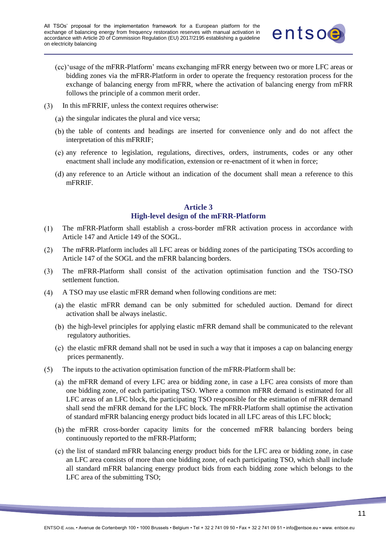

- (cc) 'usage of the mFRR-Platform' means exchanging mFRR energy between two or more LFC areas or bidding zones via the mFRR-Platform in order to operate the frequency restoration process for the exchange of balancing energy from mFRR, where the activation of balancing energy from mFRR follows the principle of a common merit order.
- In this mFRRIF, unless the context requires otherwise:
	- $(a)$  the singular indicates the plural and vice versa;
	- (b) the table of contents and headings are inserted for convenience only and do not affect the interpretation of this mFRRIF;
	- any reference to legislation, regulations, directives, orders, instruments, codes or any other enactment shall include any modification, extension or re-enactment of it when in force;
	- any reference to an Article without an indication of the document shall mean a reference to this mFRRIF.

#### **Article 3 High-level design of the mFRR-Platform**

- <span id="page-10-0"></span>The mFRR-Platform shall establish a cross-border mFRR activation process in accordance with  $(1)$ Article 147 and Article 149 of the SOGL.
- $(2)$ The mFRR-Platform includes all LFC areas or bidding zones of the participating TSOs according to Article 147 of the SOGL and the mFRR balancing borders.
- $(3)$ The mFRR-Platform shall consist of the activation optimisation function and the TSO-TSO settlement function.
- $(4)$ A TSO may use elastic mFRR demand when following conditions are met:
	- (a) the elastic mFRR demand can be only submitted for scheduled auction. Demand for direct activation shall be always inelastic.
	- (b) the high-level principles for applying elastic mFRR demand shall be communicated to the relevant regulatory authorities.
	- $t$  (c) the elastic mFRR demand shall not be used in such a way that it imposes a cap on balancing energy prices permanently.
- $(5)$ The inputs to the activation optimisation function of the mFRR-Platform shall be:
	- (a) the mFRR demand of every LFC area or bidding zone, in case a LFC area consists of more than one bidding zone, of each participating TSO. Where a common mFRR demand is estimated for all LFC areas of an LFC block, the participating TSO responsible for the estimation of mFRR demand shall send the mFRR demand for the LFC block. The mFRR-Platform shall optimise the activation of standard mFRR balancing energy product bids located in all LFC areas of this LFC block;
	- (b) the mFRR cross-border capacity limits for the concerned mFRR balancing borders being continuously reported to the mFRR-Platform;
	- $\epsilon$ ) the list of standard mFRR balancing energy product bids for the LFC area or bidding zone, in case an LFC area consists of more than one bidding zone, of each participating TSO, which shall include all standard mFRR balancing energy product bids from each bidding zone which belongs to the LFC area of the submitting TSO;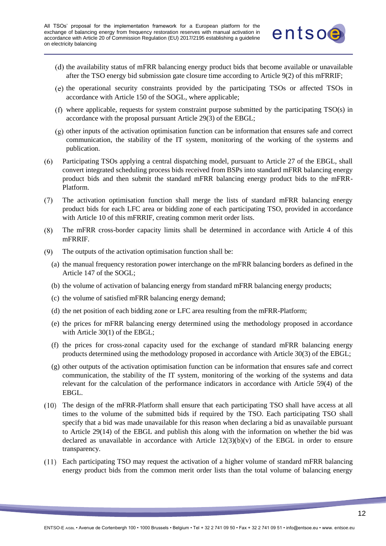

- (d) the availability status of mFRR balancing energy product bids that become available or unavailable after the TSO energy bid submission gate closure time according to Article 9(2) of this mFRRIF;
- the operational security constraints provided by the participating TSOs or affected TSOs in accordance with Article 150 of the SOGL, where applicable;
- where applicable, requests for system constraint purpose submitted by the participating TSO(s) in accordance with the proposal pursuant Article 29(3) of the EBGL;
- $(g)$  other inputs of the activation optimisation function can be information that ensures safe and correct communication, the stability of the IT system, monitoring of the working of the systems and publication.
- Participating TSOs applying a central dispatching model, pursuant to Article 27 of the EBGL, shall  $(6)$ convert integrated scheduling process bids received from BSPs into standard mFRR balancing energy product bids and then submit the standard mFRR balancing energy product bids to the mFRR-Platform.
- $(7)$ The activation optimisation function shall merge the lists of standard mFRR balancing energy product bids for each LFC area or bidding zone of each participating TSO, provided in accordance with Article 10 of this mFRRIF, creating common merit order lists.
- $(8)$ The mFRR cross-border capacity limits shall be determined in accordance with Article 4 of this mFRRIF.
- $(9)$ The outputs of the activation optimisation function shall be:
	- (a) the manual frequency restoration power interchange on the mFRR balancing borders as defined in the Article 147 of the SOGL;
	- (b) the volume of activation of balancing energy from standard mFRR balancing energy products;
	- (c) the volume of satisfied mFRR balancing energy demand;
	- (d) the net position of each bidding zone or LFC area resulting from the mFRR-Platform;
	- (e) the prices for mFRR balancing energy determined using the methodology proposed in accordance with Article 30(1) of the EBGL;
	- (f) the prices for cross-zonal capacity used for the exchange of standard mFRR balancing energy products determined using the methodology proposed in accordance with Article 30(3) of the EBGL;
	- (g) other outputs of the activation optimisation function can be information that ensures safe and correct communication, the stability of the IT system, monitoring of the working of the systems and data relevant for the calculation of the performance indicators in accordance with Article 59(4) of the EBGL.
- The design of the mFRR-Platform shall ensure that each participating TSO shall have access at all times to the volume of the submitted bids if required by the TSO. Each participating TSO shall specify that a bid was made unavailable for this reason when declaring a bid as unavailable pursuant to Article 29(14) of the EBGL and publish this along with the information on whether the bid was declared as unavailable in accordance with Article  $12(3)(b)(v)$  of the EBGL in order to ensure transparency.
- Each participating TSO may request the activation of a higher volume of standard mFRR balancing energy product bids from the common merit order lists than the total volume of balancing energy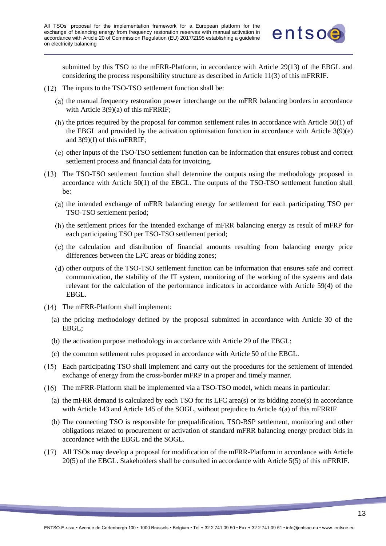

submitted by this TSO to the mFRR-Platform, in accordance with Article 29(13) of the EBGL and considering the process responsibility structure as described in Article 11(3) of this mFRRIF.

- $(12)$  The inputs to the TSO-TSO settlement function shall be:
	- $\theta$  (a) the manual frequency restoration power interchange on the mFRR balancing borders in accordance with Article 3(9)(a) of this mFRRIF:
	- (b) the prices required by the proposal for common settlement rules in accordance with Article  $50(1)$  of the EBGL and provided by the activation optimisation function in accordance with Article 3(9)(e) and 3(9)(f) of this mFRRIF;
	- other inputs of the TSO-TSO settlement function can be information that ensures robust and correct settlement process and financial data for invoicing.
- The TSO-TSO settlement function shall determine the outputs using the methodology proposed in accordance with Article 50(1) of the EBGL. The outputs of the TSO-TSO settlement function shall be:
	- (a) the intended exchange of mFRR balancing energy for settlement for each participating TSO per TSO-TSO settlement period;
	- (b) the settlement prices for the intended exchange of mFRR balancing energy as result of mFRP for each participating TSO per TSO-TSO settlement period;
	- $\alpha$  (c) the calculation and distribution of financial amounts resulting from balancing energy price differences between the LFC areas or bidding zones;
	- other outputs of the TSO-TSO settlement function can be information that ensures safe and correct communication, the stability of the IT system, monitoring of the working of the systems and data relevant for the calculation of the performance indicators in accordance with Article 59(4) of the EBGL.
- (14) The mFRR-Platform shall implement:
	- (a) the pricing methodology defined by the proposal submitted in accordance with Article 30 of the EBGL;
	- (b) the activation purpose methodology in accordance with Article 29 of the EBGL;
	- (c) the common settlement rules proposed in accordance with Article 50 of the EBGL.
- Each participating TSO shall implement and carry out the procedures for the settlement of intended exchange of energy from the cross-border mFRP in a proper and timely manner.
- The mFRR-Platform shall be implemented via a TSO-TSO model, which means in particular:
	- (a) the mFRR demand is calculated by each TSO for its LFC area(s) or its bidding zone(s) in accordance with Article 143 and Article 145 of the SOGL, without prejudice to Article 4(a) of this mFRRIF
	- (b) The connecting TSO is responsible for prequalification, TSO-BSP settlement, monitoring and other obligations related to procurement or activation of standard mFRR balancing energy product bids in accordance with the EBGL and the SOGL.
- All TSOs may develop a proposal for modification of the mFRR-Platform in accordance with Article 20(5) of the EBGL. Stakeholders shall be consulted in accordance with Article 5(5) of this mFRRIF.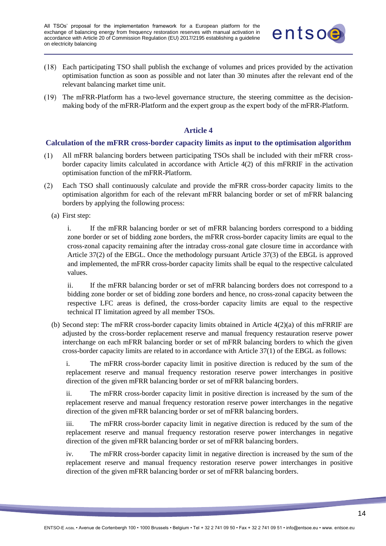

- Each participating TSO shall publish the exchange of volumes and prices provided by the activation optimisation function as soon as possible and not later than 30 minutes after the relevant end of the relevant balancing market time unit.
- (19) The mFRR-Platform has a two-level governance structure, the steering committee as the decisionmaking body of the mFRR-Platform and the expert group as the expert body of the mFRR-Platform.

# **Article 4**

#### <span id="page-13-1"></span><span id="page-13-0"></span>**Calculation of the mFRR cross-border capacity limits as input to the optimisation algorithm**

- $(1)$ All mFRR balancing borders between participating TSOs shall be included with their mFRR crossborder capacity limits calculated in accordance with Article 4(2) of this mFRRIF in the activation optimisation function of the mFRR-Platform.
- Each TSO shall continuously calculate and provide the mFRR cross-border capacity limits to the  $(2)$ optimisation algorithm for each of the relevant mFRR balancing border or set of mFRR balancing borders by applying the following process:
	- (a) First step:

i. If the mFRR balancing border or set of mFRR balancing borders correspond to a bidding zone border or set of bidding zone borders, the mFRR cross-border capacity limits are equal to the cross-zonal capacity remaining after the intraday cross-zonal gate closure time in accordance with Article 37(2) of the EBGL. Once the methodology pursuant Article 37(3) of the EBGL is approved and implemented, the mFRR cross-border capacity limits shall be equal to the respective calculated values.

ii. If the mFRR balancing border or set of mFRR balancing borders does not correspond to a bidding zone border or set of bidding zone borders and hence, no cross-zonal capacity between the respective LFC areas is defined, the cross-border capacity limits are equal to the respective technical IT limitation agreed by all member TSOs.

(b) Second step: The mFRR cross-border capacity limits obtained in Article 4(2)(a) of this mFRRIF are adjusted by the cross-border replacement reserve and manual frequency restauration reserve power interchange on each mFRR balancing border or set of mFRR balancing borders to which the given cross-border capacity limits are related to in accordance with Article 37(1) of the EBGL as follows:

i. The mFRR cross-border capacity limit in positive direction is reduced by the sum of the replacement reserve and manual frequency restoration reserve power interchanges in positive direction of the given mFRR balancing border or set of mFRR balancing borders.

ii. The mFRR cross-border capacity limit in positive direction is increased by the sum of the replacement reserve and manual frequency restoration reserve power interchanges in the negative direction of the given mFRR balancing border or set of mFRR balancing borders.

iii. The mFRR cross-border capacity limit in negative direction is reduced by the sum of the replacement reserve and manual frequency restoration reserve power interchanges in negative direction of the given mFRR balancing border or set of mFRR balancing borders.

iv. The mFRR cross-border capacity limit in negative direction is increased by the sum of the replacement reserve and manual frequency restoration reserve power interchanges in positive direction of the given mFRR balancing border or set of mFRR balancing borders.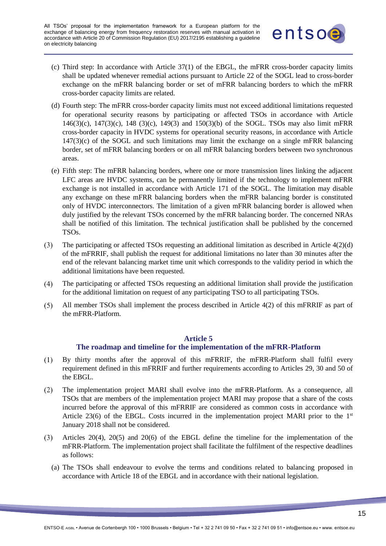

- (c) Third step: In accordance with Article 37(1) of the EBGL, the mFRR cross-border capacity limits shall be updated whenever remedial actions pursuant to Article 22 of the SOGL lead to cross-border exchange on the mFRR balancing border or set of mFRR balancing borders to which the mFRR cross-border capacity limits are related.
- (d) Fourth step: The mFRR cross-border capacity limits must not exceed additional limitations requested for operational security reasons by participating or affected TSOs in accordance with Article 146(3)(c), 147(3)(c), 148 (3)(c), 149(3) and 150(3)(b) of the SOGL. TSOs may also limit mFRR cross-border capacity in HVDC systems for operational security reasons, in accordance with Article  $147(3)(c)$  of the SOGL and such limitations may limit the exchange on a single mFRR balancing border, set of mFRR balancing borders or on all mFRR balancing borders between two synchronous areas.
- (e) Fifth step: The mFRR balancing borders, where one or more transmission lines linking the adjacent LFC areas are HVDC systems, can be permanently limited if the technology to implement mFRR exchange is not installed in accordance with Article 171 of the SOGL. The limitation may disable any exchange on these mFRR balancing borders when the mFRR balancing border is constituted only of HVDC interconnectors. The limitation of a given mFRR balancing border is allowed when duly justified by the relevant TSOs concerned by the mFRR balancing border. The concerned NRAs shall be notified of this limitation. The technical justification shall be published by the concerned TSOs.
- $(3)$ The participating or affected TSOs requesting an additional limitation as described in Article 4(2)(d) of the mFRRIF, shall publish the request for additional limitations no later than 30 minutes after the end of the relevant balancing market time unit which corresponds to the validity period in which the additional limitations have been requested.
- $(4)$ The participating or affected TSOs requesting an additional limitation shall provide the justification for the additional limitation on request of any participating TSO to all participating TSOs.
- $(5)$ All member TSOs shall implement the process described in Article 4(2) of this mFRRIF as part of the mFRR-Platform.

#### **Article 5**

#### **The roadmap and timeline for the implementation of the mFRR-Platform**

- <span id="page-14-0"></span>By thirty months after the approval of this mFRRIF, the mFRR-Platform shall fulfil every  $(1)$ requirement defined in this mFRRIF and further requirements according to Articles 29, 30 and 50 of the EBGL.
- The implementation project MARI shall evolve into the mFRR-Platform. As a consequence, all  $(2)$ TSOs that are members of the implementation project MARI may propose that a share of the costs incurred before the approval of this mFRRIF are considered as common costs in accordance with Article 23(6) of the EBGL. Costs incurred in the implementation project MARI prior to the  $1<sup>st</sup>$ January 2018 shall not be considered.
- $(3)$ Articles 20(4), 20(5) and 20(6) of the EBGL define the timeline for the implementation of the mFRR-Platform. The implementation project shall facilitate the fulfilment of the respective deadlines as follows:
	- (a) The TSOs shall endeavour to evolve the terms and conditions related to balancing proposed in accordance with Article 18 of the EBGL and in accordance with their national legislation.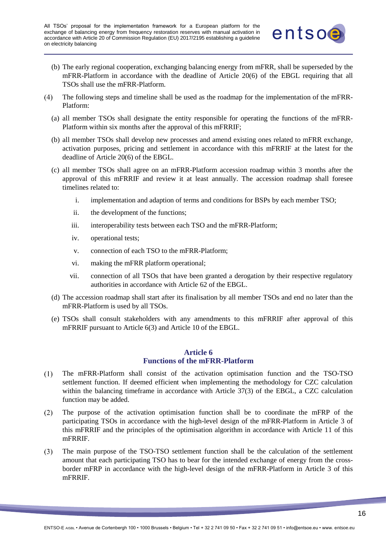![](_page_15_Picture_1.jpeg)

- (b) The early regional cooperation, exchanging balancing energy from mFRR, shall be superseded by the mFRR-Platform in accordance with the deadline of Article 20(6) of the EBGL requiring that all TSOs shall use the mFRR-Platform.
- $(4)$ The following steps and timeline shall be used as the roadmap for the implementation of the mFRR-Platform:
	- (a) all member TSOs shall designate the entity responsible for operating the functions of the mFRR-Platform within six months after the approval of this mFRRIF;
	- (b) all member TSOs shall develop new processes and amend existing ones related to mFRR exchange, activation purposes, pricing and settlement in accordance with this mFRRIF at the latest for the deadline of Article 20(6) of the EBGL.
	- (c) all member TSOs shall agree on an mFRR-Platform accession roadmap within 3 months after the approval of this mFRRIF and review it at least annually. The accession roadmap shall foresee timelines related to:
		- i. implementation and adaption of terms and conditions for BSPs by each member TSO;
		- ii. the development of the functions;
		- iii. interoperability tests between each TSO and the mFRR-Platform;
		- iv. operational tests;
		- v. connection of each TSO to the mFRR-Platform;
		- vi. making the mFRR platform operational;
		- vii. connection of all TSOs that have been granted a derogation by their respective regulatory authorities in accordance with Article 62 of the EBGL.
	- (d) The accession roadmap shall start after its finalisation by all member TSOs and end no later than the mFRR-Platform is used by all TSOs.
	- (e) TSOs shall consult stakeholders with any amendments to this mFRRIF after approval of this mFRRIF pursuant to Article 6(3) and Article 10 of the EBGL.

# **Article 6 Functions of the mFRR-Platform**

- <span id="page-15-0"></span> $(1)$ The mFRR-Platform shall consist of the activation optimisation function and the TSO-TSO settlement function. If deemed efficient when implementing the methodology for CZC calculation within the balancing timeframe in accordance with Article 37(3) of the EBGL, a CZC calculation function may be added.
- The purpose of the activation optimisation function shall be to coordinate the mFRP of the  $(2)$ participating TSOs in accordance with the high-level design of the mFRR-Platform in Article 3 of this mFRRIF and the principles of the optimisation algorithm in accordance with Article 11 of this mFRRIF.
- The main purpose of the TSO-TSO settlement function shall be the calculation of the settlement  $(3)$ amount that each participating TSO has to bear for the intended exchange of energy from the crossborder mFRP in accordance with the high-level design of the mFRR-Platform in Article 3 of this mFRRIF.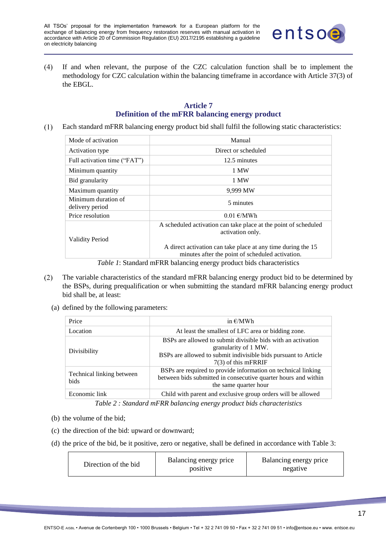![](_page_16_Picture_1.jpeg)

 $(4)$ If and when relevant, the purpose of the CZC calculation function shall be to implement the methodology for CZC calculation within the balancing timeframe in accordance with Article 37(3) of the EBGL.

#### **Article 7 Definition of the mFRR balancing energy product**

<span id="page-16-0"></span>Each standard mFRR balancing energy product bid shall fulfil the following static characteristics:  $(1)$ 

| Mode of activation                     | Manual                                                                                                                              |
|----------------------------------------|-------------------------------------------------------------------------------------------------------------------------------------|
| Activation type                        | Direct or scheduled                                                                                                                 |
| Full activation time ("FAT")           | 12.5 minutes                                                                                                                        |
| Minimum quantity                       | 1 MW                                                                                                                                |
| Bid granularity                        | 1 MW                                                                                                                                |
| Maximum quantity                       | 9,999 MW                                                                                                                            |
| Minimum duration of<br>delivery period | 5 minutes                                                                                                                           |
| Price resolution                       | $0.01 \text{ E}/MWh$                                                                                                                |
| <b>Validity Period</b>                 | A scheduled activation can take place at the point of scheduled<br>activation only.                                                 |
| <i>m</i> 11 1 0 1 1 1                  | A direct activation can take place at any time during the 15<br>minutes after the point of scheduled activation.<br>T T T T 1 1 1 1 |

*Table 1*: Standard mFRR balancing energy product bids characteristics

- $(2)$ The variable characteristics of the standard mFRR balancing energy product bid to be determined by the BSPs, during prequalification or when submitting the standard mFRR balancing energy product bid shall be, at least:
	- (a) defined by the following parameters:

| Price                                    | in $\epsilon$ /MWh                                                                                                                                                               |  |
|------------------------------------------|----------------------------------------------------------------------------------------------------------------------------------------------------------------------------------|--|
| Location                                 | At least the smallest of LFC area or bidding zone.                                                                                                                               |  |
| Divisibility                             | BSPs are allowed to submit divisible bids with an activation<br>granularity of 1 MW.<br>BSPs are allowed to submit indivisible bids pursuant to Article<br>$7(3)$ of this mFRRIF |  |
| Technical linking between<br><b>bids</b> | BSPs are required to provide information on technical linking<br>between bids submitted in consecutive quarter hours and within<br>the same quarter hour                         |  |
| Economic link                            | Child with parent and exclusive group orders will be allowed                                                                                                                     |  |
|                                          |                                                                                                                                                                                  |  |

*Table 2 : Standard mFRR balancing energy product bids characteristics*

- (b) the volume of the bid;
- (c) the direction of the bid: upward or downward;
- (d) the price of the bid, be it positive, zero or negative, shall be defined in accordance with Table 3:

| Direction of the bid | Balancing energy price<br>positive | Balancing energy price<br>negative |
|----------------------|------------------------------------|------------------------------------|
|----------------------|------------------------------------|------------------------------------|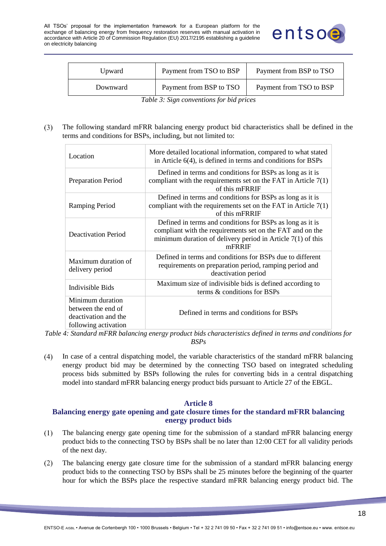![](_page_17_Picture_1.jpeg)

| Upward   | Payment from TSO to BSP | Payment from BSP to TSO |
|----------|-------------------------|-------------------------|
| Downward | Payment from BSP to TSO | Payment from TSO to BSP |

*Table 3: Sign conventions for bid prices*

#### The following standard mFRR balancing energy product bid characteristics shall be defined in the  $(3)$ terms and conditions for BSPs, including, but not limited to:

| Location                                                                               | More detailed locational information, compared to what stated<br>in Article $6(4)$ , is defined in terms and conditions for BSPs                                                                  |
|----------------------------------------------------------------------------------------|---------------------------------------------------------------------------------------------------------------------------------------------------------------------------------------------------|
| Preparation Period                                                                     | Defined in terms and conditions for BSPs as long as it is<br>compliant with the requirements set on the FAT in Article $7(1)$<br>of this mFRRIF                                                   |
| Ramping Period                                                                         | Defined in terms and conditions for BSPs as long as it is<br>compliant with the requirements set on the FAT in Article $7(1)$<br>of this mFRRIF                                                   |
| Deactivation Period                                                                    | Defined in terms and conditions for BSPs as long as it is<br>compliant with the requirements set on the FAT and on the<br>minimum duration of delivery period in Article $7(1)$ of this<br>mFRRIF |
| Maximum duration of<br>delivery period                                                 | Defined in terms and conditions for BSPs due to different<br>requirements on preparation period, ramping period and<br>deactivation period                                                        |
| Indivisible Bids                                                                       | Maximum size of indivisible bids is defined according to<br>terms & conditions for BSPs                                                                                                           |
| Minimum duration<br>between the end of<br>deactivation and the<br>following activation | Defined in terms and conditions for BSPs                                                                                                                                                          |

*Table 4: Standard mFRR balancing energy product bids characteristics defined in terms and conditions for BSPs*

In case of a central dispatching model, the variable characteristics of the standard mFRR balancing  $(4)$ energy product bid may be determined by the connecting TSO based on integrated scheduling process bids submitted by BSPs following the rules for converting bids in a central dispatching model into standard mFRR balancing energy product bids pursuant to Article 27 of the EBGL.

#### **Article 8**

# <span id="page-17-0"></span>**Balancing energy gate opening and gate closure times for the standard mFRR balancing energy product bids**

- $(1)$ The balancing energy gate opening time for the submission of a standard mFRR balancing energy product bids to the connecting TSO by BSPs shall be no later than 12:00 CET for all validity periods of the next day.
- $(2)$ The balancing energy gate closure time for the submission of a standard mFRR balancing energy product bids to the connecting TSO by BSPs shall be 25 minutes before the beginning of the quarter hour for which the BSPs place the respective standard mFRR balancing energy product bid. The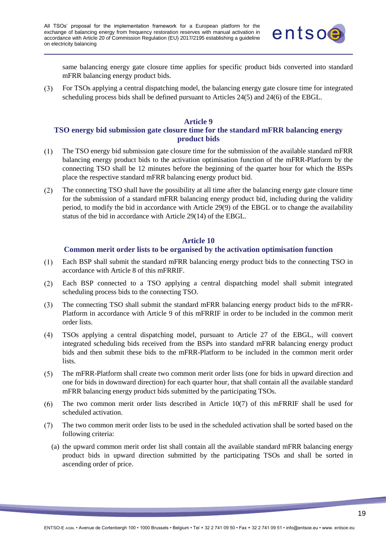![](_page_18_Picture_1.jpeg)

same balancing energy gate closure time applies for specific product bids converted into standard mFRR balancing energy product bids.

 $(3)$ For TSOs applying a central dispatching model, the balancing energy gate closure time for integrated scheduling process bids shall be defined pursuant to Articles 24(5) and 24(6) of the EBGL.

### **Article 9**

# <span id="page-18-0"></span>**TSO energy bid submission gate closure time for the standard mFRR balancing energy product bids**

- $(1)$ The TSO energy bid submission gate closure time for the submission of the available standard mFRR balancing energy product bids to the activation optimisation function of the mFRR-Platform by the connecting TSO shall be 12 minutes before the beginning of the quarter hour for which the BSPs place the respective standard mFRR balancing energy product bid.
- The connecting TSO shall have the possibility at all time after the balancing energy gate closure time  $(2)$ for the submission of a standard mFRR balancing energy product bid, including during the validity period, to modify the bid in accordance with Article 29(9) of the EBGL or to change the availability status of the bid in accordance with Article 29(14) of the EBGL.

#### **Article 10**

#### **Common merit order lists to be organised by the activation optimisation function**

- <span id="page-18-1"></span> $(1)$ Each BSP shall submit the standard mFRR balancing energy product bids to the connecting TSO in accordance with Article 8 of this mFRRIF.
- Each BSP connected to a TSO applying a central dispatching model shall submit integrated  $(2)$ scheduling process bids to the connecting TSO.
- The connecting TSO shall submit the standard mFRR balancing energy product bids to the mFRR- $(3)$ Platform in accordance with Article 9 of this mFRRIF in order to be included in the common merit order lists.
- TSOs applying a central dispatching model, pursuant to Article 27 of the EBGL, will convert  $(4)$ integrated scheduling bids received from the BSPs into standard mFRR balancing energy product bids and then submit these bids to the mFRR-Platform to be included in the common merit order lists.
- $(5)$ The mFRR-Platform shall create two common merit order lists (one for bids in upward direction and one for bids in downward direction) for each quarter hour, that shall contain all the available standard mFRR balancing energy product bids submitted by the participating TSOs.
- The two common merit order lists described in Article 10(7) of this mFRRIF shall be used for  $(6)$ scheduled activation.
- The two common merit order lists to be used in the scheduled activation shall be sorted based on the  $(7)$ following criteria:
	- (a) the upward common merit order list shall contain all the available standard mFRR balancing energy product bids in upward direction submitted by the participating TSOs and shall be sorted in ascending order of price.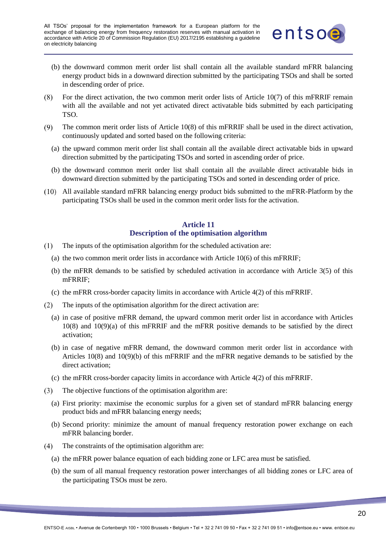![](_page_19_Picture_1.jpeg)

- (b) the downward common merit order list shall contain all the available standard mFRR balancing energy product bids in a downward direction submitted by the participating TSOs and shall be sorted in descending order of price.
- For the direct activation, the two common merit order lists of Article 10(7) of this mFRRIF remain  $(8)$ with all the available and not yet activated direct activatable bids submitted by each participating TSO.
- $(9)$ The common merit order lists of Article 10(8) of this mFRRIF shall be used in the direct activation, continuously updated and sorted based on the following criteria:
	- (a) the upward common merit order list shall contain all the available direct activatable bids in upward direction submitted by the participating TSOs and sorted in ascending order of price.
	- (b) the downward common merit order list shall contain all the available direct activatable bids in downward direction submitted by the participating TSOs and sorted in descending order of price.
- All available standard mFRR balancing energy product bids submitted to the mFRR-Platform by the participating TSOs shall be used in the common merit order lists for the activation.

# **Article 11 Description of the optimisation algorithm**

- <span id="page-19-0"></span> $(1)$ The inputs of the optimisation algorithm for the scheduled activation are:
	- (a) the two common merit order lists in accordance with Article 10(6) of this mFRRIF;
	- (b) the mFRR demands to be satisfied by scheduled activation in accordance with Article 3(5) of this mFRRIF;
	- (c) the mFRR cross-border capacity limits in accordance with Article 4(2) of this mFRRIF.
- $(2)$ The inputs of the optimisation algorithm for the direct activation are:
	- (a) in case of positive mFRR demand, the upward common merit order list in accordance with Articles 10(8) and 10(9)(a) of this mFRRIF and the mFRR positive demands to be satisfied by the direct activation;
	- (b) in case of negative mFRR demand, the downward common merit order list in accordance with Articles 10(8) and 10(9)(b) of this mFRRIF and the mFRR negative demands to be satisfied by the direct activation;
	- (c) the mFRR cross-border capacity limits in accordance with Article 4(2) of this mFRRIF.
- The objective functions of the optimisation algorithm are:  $(3)$ 
	- (a) First priority: maximise the economic surplus for a given set of standard mFRR balancing energy product bids and mFRR balancing energy needs;
	- (b) Second priority: minimize the amount of manual frequency restoration power exchange on each mFRR balancing border.
- $(4)$ The constraints of the optimisation algorithm are:
	- (a) the mFRR power balance equation of each bidding zone or LFC area must be satisfied.
	- (b) the sum of all manual frequency restoration power interchanges of all bidding zones or LFC area of the participating TSOs must be zero.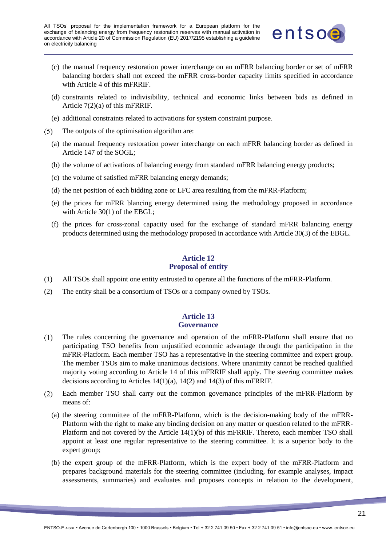![](_page_20_Picture_1.jpeg)

- (c) the manual frequency restoration power interchange on an mFRR balancing border or set of mFRR balancing borders shall not exceed the mFRR cross-border capacity limits specified in accordance with Article 4 of this mFRRIF.
- (d) constraints related to indivisibility, technical and economic links between bids as defined in Article 7(2)(a) of this mFRRIF.
- (e) additional constraints related to activations for system constraint purpose.
- The outputs of the optimisation algorithm are:  $(5)$ 
	- (a) the manual frequency restoration power interchange on each mFRR balancing border as defined in Article 147 of the SOGL;
	- (b) the volume of activations of balancing energy from standard mFRR balancing energy products;
	- (c) the volume of satisfied mFRR balancing energy demands;
	- (d) the net position of each bidding zone or LFC area resulting from the mFRR-Platform;
	- (e) the prices for mFRR blancing energy determined using the methodology proposed in accordance with Article 30(1) of the EBGL:
	- (f) the prices for cross-zonal capacity used for the exchange of standard mFRR balancing energy products determined using the methodology proposed in accordance with Article 30(3) of the EBGL.

# **Article 12 Proposal of entity**

- <span id="page-20-0"></span>(1) All TSOs shall appoint one entity entrusted to operate all the functions of the mFRR-Platform.
- (2) The entity shall be a consortium of TSOs or a company owned by TSOs.

#### **Article 13 Governance**

- <span id="page-20-1"></span> $(1)$ The rules concerning the governance and operation of the mFRR-Platform shall ensure that no participating TSO benefits from unjustified economic advantage through the participation in the mFRR-Platform. Each member TSO has a representative in the steering committee and expert group. The member TSOs aim to make unanimous decisions. Where unanimity cannot be reached qualified majority voting according to Article 14 of this mFRRIF shall apply. The steering committee makes decisions according to Articles 14(1)(a), 14(2) and 14(3) of this mFRRIF.
- Each member TSO shall carry out the common governance principles of the mFRR-Platform by  $(2)$ means of:
	- (a) the steering committee of the mFRR-Platform, which is the decision-making body of the mFRR-Platform with the right to make any binding decision on any matter or question related to the mFRR-Platform and not covered by the Article 14(1)(b) of this mFRRIF. Thereto, each member TSO shall appoint at least one regular representative to the steering committee. It is a superior body to the expert group;
	- (b) the expert group of the mFRR-Platform, which is the expert body of the mFRR-Platform and prepares background materials for the steering committee (including, for example analyses, impact assessments, summaries) and evaluates and proposes concepts in relation to the development,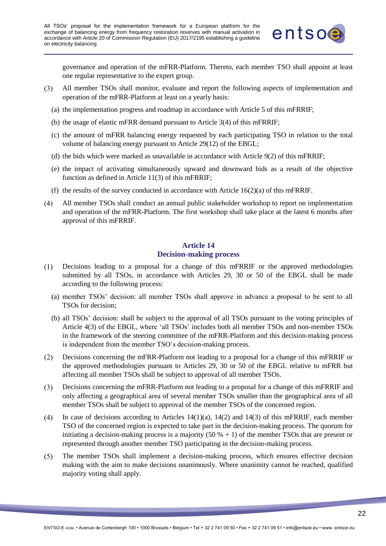![](_page_21_Picture_1.jpeg)

governance and operation of the mFRR-Platform. Thereto, each member TSO shall appoint at least one regular representative to the expert group.

- $(3)$ All member TSOs shall monitor, evaluate and report the following aspects of implementation and operation of the mFRR-Platform at least on a yearly basis:
	- (a) the implementation progress and roadmap in accordance with Article 5 of this mFRRIF;
	- (b) the usage of elastic mFRR demand pursuant to Article 3(4) of this mFRRIF;
	- (c) the amount of mFRR balancing energy requested by each participating TSO in relation to the total volume of balancing energy pursuant to Article 29(12) of the EBGL;
	- (d) the bids which were marked as unavailable in accordance with Article 9(2) of this mFRRIF;
	- (e) the impact of activating simultaneously upward and downward bids as a result of the objective function as defined in Article 11(3) of this mFRRIF;
	- (f) the results of the survey conducted in accordance with Article  $16(2)(a)$  of this mFRRIF.
- All member TSOs shall conduct an annual public stakeholder workshop to report on implementation  $(4)$ and operation of the mFRR-Platform. The first workshop shall take place at the latest 6 months after approval of this mFRRIF.

# **Article 14 Decision-making process**

- <span id="page-21-0"></span>Decisions leading to a proposal for a change of this mFRRIF or the approved methodologies  $(1)$ submitted by all TSOs, in accordance with Articles 29, 30 or 50 of the EBGL shall be made according to the following process:
	- (a) member TSOs' decision: all member TSOs shall approve in advance a proposal to be sent to all TSOs for decision;
	- (b) all TSOs' decision: shall be subject to the approval of all TSOs pursuant to the voting principles of Article 4(3) of the EBGL, where 'all TSOs' includes both all member TSOs and non-member TSOs in the framework of the steering committee of the mFRR-Platform and this decision-making process is independent from the member TSO's decision-making process.
- Decisions concerning the mFRR-Platform not leading to a proposal for a change of this mFRRIF or  $(2)$ the approved methodologies pursuant to Articles 29, 30 or 50 of the EBGL relative to mFRR but affecting all member TSOs shall be subject to approval of all member TSOs.
- Decisions concerning the mFRR-Platform not leading to a proposal for a change of this mFRRIF and  $(3)$ only affecting a geographical area of several member TSOs smaller than the geographical area of all member TSOs shall be subject to approval of the member TSOs of the concerned region.
- $(4)$ In case of decisions according to Articles  $14(1)(a)$ ,  $14(2)$  and  $14(3)$  of this mFRRIF, each member TSO of the concerned region is expected to take part in the decision-making process. The quorum for initiating a decision-making process is a majority  $(50 \% + 1)$  of the member TSOs that are present or represented through another member TSO participating in the decision-making process.
- $(5)$ The member TSOs shall implement a decision-making process, which ensures effective decision making with the aim to make decisions unanimously. Where unanimity cannot be reached, qualified majority voting shall apply.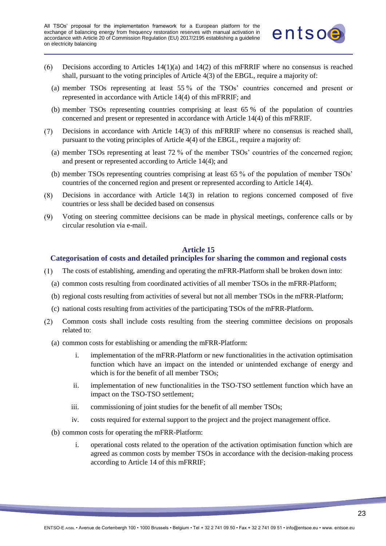![](_page_22_Picture_1.jpeg)

- Decisions according to Articles  $14(1)(a)$  and  $14(2)$  of this mFRRIF where no consensus is reached  $(6)$ shall, pursuant to the voting principles of Article 4(3) of the EBGL, require a majority of:
	- (a) member TSOs representing at least 55 % of the TSOs' countries concerned and present or represented in accordance with Article 14(4) of this mFRRIF; and
	- (b) member TSOs representing countries comprising at least 65 % of the population of countries concerned and present or represented in accordance with Article 14(4) of this mFRRIF.
- Decisions in accordance with Article 14(3) of this mFRRIF where no consensus is reached shall,  $(7)$ pursuant to the voting principles of Article 4(4) of the EBGL, require a majority of:
	- (a) member TSOs representing at least 72 % of the member TSOs' countries of the concerned region; and present or represented according to Article 14(4); and
	- (b) member TSOs representing countries comprising at least 65 % of the population of member TSOs' countries of the concerned region and present or represented according to Article 14(4).
- $(8)$ Decisions in accordance with Article 14(3) in relation to regions concerned composed of five countries or less shall be decided based on consensus
- $(9)$ Voting on steering committee decisions can be made in physical meetings, conference calls or by circular resolution via e-mail.

#### **Article 15**

# <span id="page-22-0"></span>**Categorisation of costs and detailed principles for sharing the common and regional costs**

- $(1)$ The costs of establishing, amending and operating the mFRR-Platform shall be broken down into:
	- (a) common costs resulting from coordinated activities of all member TSOs in the mFRR-Platform;
	- (b) regional costs resulting from activities of several but not all member TSOs in the mFRR-Platform;
	- (c) national costs resulting from activities of the participating TSOs of the mFRR-Platform.
- $(2)$ Common costs shall include costs resulting from the steering committee decisions on proposals related to:
	- (a) common costs for establishing or amending the mFRR-Platform:
		- i. implementation of the mFRR-Platform or new functionalities in the activation optimisation function which have an impact on the intended or unintended exchange of energy and which is for the benefit of all member TSOs:
		- ii. implementation of new functionalities in the TSO-TSO settlement function which have an impact on the TSO-TSO settlement;
		- iii. commissioning of joint studies for the benefit of all member TSOs;
		- iv. costs required for external support to the project and the project management office.
	- (b) common costs for operating the mFRR-Platform:
		- i. operational costs related to the operation of the activation optimisation function which are agreed as common costs by member TSOs in accordance with the decision-making process according to Article 14 of this mFRRIF;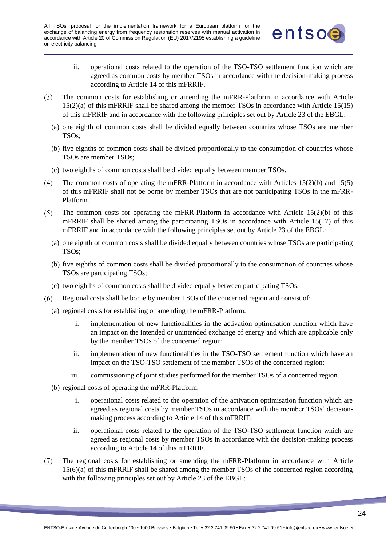![](_page_23_Picture_1.jpeg)

- ii. operational costs related to the operation of the TSO-TSO settlement function which are agreed as common costs by member TSOs in accordance with the decision-making process according to Article 14 of this mFRRIF.
- $(3)$ The common costs for establishing or amending the mFRR-Platform in accordance with Article 15(2)(a) of this mFRRIF shall be shared among the member TSOs in accordance with Article 15(15) of this mFRRIF and in accordance with the following principles set out by Article 23 of the EBGL:
	- (a) one eighth of common costs shall be divided equally between countries whose TSOs are member TSOs;
	- (b) five eighths of common costs shall be divided proportionally to the consumption of countries whose TSOs are member TSOs;
	- (c) two eighths of common costs shall be divided equally between member TSOs.
- The common costs of operating the mFRR-Platform in accordance with Articles 15(2)(b) and 15(5)  $(4)$ of this mFRRIF shall not be borne by member TSOs that are not participating TSOs in the mFRR-Platform.
- The common costs for operating the mFRR-Platform in accordance with Article 15(2)(b) of this  $(5)$ mFRRIF shall be shared among the participating TSOs in accordance with Article 15(17) of this mFRRIF and in accordance with the following principles set out by Article 23 of the EBGL:
	- (a) one eighth of common costs shall be divided equally between countries whose TSOs are participating TSOs;
	- (b) five eighths of common costs shall be divided proportionally to the consumption of countries whose TSOs are participating TSOs;
	- (c) two eighths of common costs shall be divided equally between participating TSOs.
- Regional costs shall be borne by member TSOs of the concerned region and consist of:  $(6)$ 
	- (a) regional costs for establishing or amending the mFRR-Platform:
		- i. implementation of new functionalities in the activation optimisation function which have an impact on the intended or unintended exchange of energy and which are applicable only by the member TSOs of the concerned region;
		- ii. implementation of new functionalities in the TSO-TSO settlement function which have an impact on the TSO-TSO settlement of the member TSOs of the concerned region;
		- iii. commissioning of joint studies performed for the member TSOs of a concerned region.
	- (b) regional costs of operating the mFRR-Platform:
		- i. operational costs related to the operation of the activation optimisation function which are agreed as regional costs by member TSOs in accordance with the member TSOs' decisionmaking process according to Article 14 of this mFRRIF;
		- ii. operational costs related to the operation of the TSO-TSO settlement function which are agreed as regional costs by member TSOs in accordance with the decision-making process according to Article 14 of this mFRRIF.
- $(7)$ The regional costs for establishing or amending the mFRR-Platform in accordance with Article 15(6)(a) of this mFRRIF shall be shared among the member TSOs of the concerned region according with the following principles set out by Article 23 of the EBGL: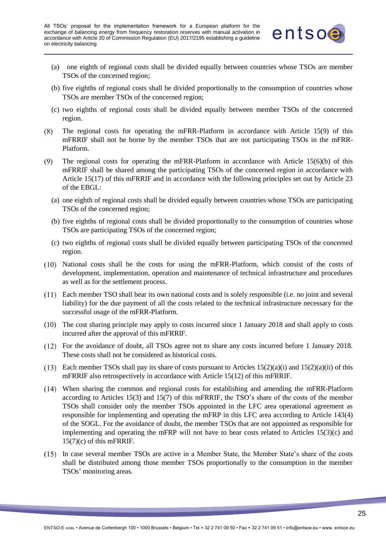![](_page_24_Picture_1.jpeg)

- (a) one eighth of regional costs shall be divided equally between countries whose TSOs are member TSOs of the concerned region;
- (b) five eighths of regional costs shall be divided proportionally to the consumption of countries whose TSOs are member TSOs of the concerned region;
- (c) two eighths of regional costs shall be divided equally between member TSOs of the concerned region.
- The regional costs for operating the mFRR-Platform in accordance with Article 15(9) of this  $(8)$ mFRRIF shall not be borne by the member TSOs that are not participating TSOs in the mFRR-Platform.
- $(9)$ The regional costs for operating the mFRR-Platform in accordance with Article 15(6)(b) of this mFRRIF shall be shared among the participating TSOs of the concerned region in accordance with Article 15(17) of this mFRRIF and in accordance with the following principles set out by Article 23 of the EBGL:
	- (a) one eighth of regional costs shall be divided equally between countries whose TSOs are participating TSOs of the concerned region;
	- (b) five eighths of regional costs shall be divided proportionally to the consumption of countries whose TSOs are participating TSOs of the concerned region;
	- (c) two eighths of regional costs shall be divided equally between participating TSOs of the concerned region.
- National costs shall be the costs for using the mFRR-Platform, which consist of the costs of development, implementation, operation and maintenance of technical infrastructure and procedures as well as for the settlement process.
- Each member TSO shall bear its own national costs and is solely responsible (i.e. no joint and several liability) for the due payment of all the costs related to the technical infrastructure necessary for the successful usage of the mFRR-Platform.
- (10) The cost sharing principle may apply to costs incurred since 1 January 2018 and shall apply to costs incurred after the approval of this mFRRIF.
- For the avoidance of doubt, all TSOs agree not to share any costs incurred before 1 January 2018. These costs shall not be considered as historical costs.
- Each member TSOs shall pay its share of costs pursuant to Articles 15(2)(a)(i) and 15(2)(a)(ii) of this mFRRIF also retrospectively in accordance with Article 15(12) of this mFRRIF.
- When sharing the common and regional costs for establishing and amending the mFRR-Platform according to Articles 15(3) and 15(7) of this mFRRIF, the TSO's share of the costs of the member TSOs shall consider only the member TSOs appointed in the LFC area operational agreement as responsible for implementing and operating the mFRP in this LFC area according to Article 143(4) of the SOGL. For the avoidance of doubt, the member TSOs that are not appointed as responsible for implementing and operating the mFRP will not have to bear costs related to Articles 15(3)(c) and 15(7)(c) of this mFRRIF.
- In case several member TSOs are active in a Member State, the Member State's share of the costs shall be distributed among those member TSOs proportionally to the consumption in the member TSOs' monitoring areas.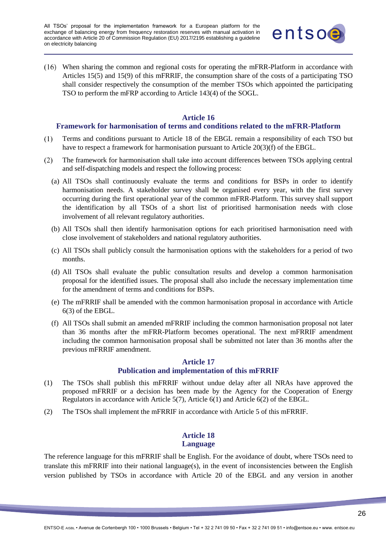![](_page_25_Picture_1.jpeg)

When sharing the common and regional costs for operating the mFRR-Platform in accordance with Articles 15(5) and 15(9) of this mFRRIF, the consumption share of the costs of a participating TSO shall consider respectively the consumption of the member TSOs which appointed the participating TSO to perform the mFRP according to Article 143(4) of the SOGL.

#### **Article 16**

#### <span id="page-25-0"></span>**Framework for harmonisation of terms and conditions related to the mFRR-Platform**

- Terms and conditions pursuant to Article 18 of the EBGL remain a responsibility of each TSO but  $(1)$ have to respect a framework for harmonisation pursuant to Article 20(3)(f) of the EBGL.
- The framework for harmonisation shall take into account differences between TSOs applying central  $(2)$ and self-dispatching models and respect the following process:
	- (a) All TSOs shall continuously evaluate the terms and conditions for BSPs in order to identify harmonisation needs. A stakeholder survey shall be organised every year, with the first survey occurring during the first operational year of the common mFRR-Platform. This survey shall support the identification by all TSOs of a short list of prioritised harmonisation needs with close involvement of all relevant regulatory authorities.
	- (b) All TSOs shall then identify harmonisation options for each prioritised harmonisation need with close involvement of stakeholders and national regulatory authorities.
	- (c) All TSOs shall publicly consult the harmonisation options with the stakeholders for a period of two months.
	- (d) All TSOs shall evaluate the public consultation results and develop a common harmonisation proposal for the identified issues. The proposal shall also include the necessary implementation time for the amendment of terms and conditions for BSPs.
	- (e) The mFRRIF shall be amended with the common harmonisation proposal in accordance with Article 6(3) of the EBGL.
	- (f) All TSOs shall submit an amended mFRRIF including the common harmonisation proposal not later than 36 months after the mFRR-Platform becomes operational. The next mFRRIF amendment including the common harmonisation proposal shall be submitted not later than 36 months after the previous mFRRIF amendment.

# **Article 17 Publication and implementation of this mFRRIF**

- <span id="page-25-1"></span>(1) The TSOs shall publish this mFRRIF without undue delay after all NRAs have approved the proposed mFRRIF or a decision has been made by the Agency for the Cooperation of Energy Regulators in accordance with Article 5(7), Article 6(1) and Article 6(2) of the EBGL.
- (2) The TSOs shall implement the mFRRIF in accordance with Article 5 of this mFRRIF.

# **Article 18 Language**

<span id="page-25-2"></span>The reference language for this mFRRIF shall be English. For the avoidance of doubt, where TSOs need to translate this mFRRIF into their national language(s), in the event of inconsistencies between the English version published by TSOs in accordance with Article 20 of the EBGL and any version in another